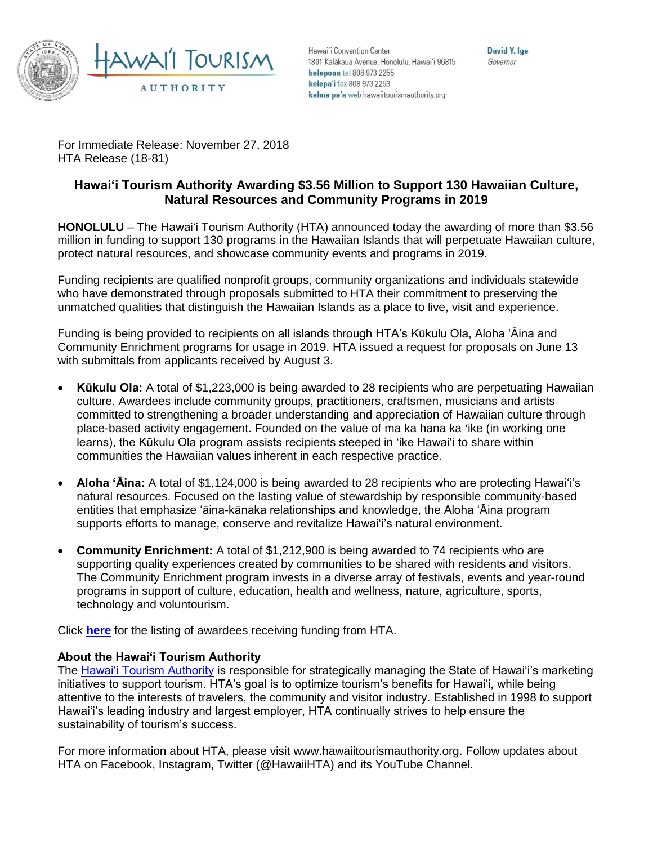

Hawai'i Convention Center 1801 Kalākaua Avenue, Honolulu, Hawai'i 96815 kelepona tel 808 973 2255 kelepa'i fax 808 973 2253 kahua pa'a web hawaiitourismauthority.org

David Y. Ige Governor

For Immediate Release: November 27, 2018 HTA Release (18-81)

## **Hawai'i Tourism Authority Awarding \$3.56 Million to Support 130 Hawaiian Culture, Natural Resources and Community Programs in 2019**

**HONOLULU** – The Hawai'i Tourism Authority (HTA) announced today the awarding of more than \$3.56 million in funding to support 130 programs in the Hawaiian Islands that will perpetuate Hawaiian culture, protect natural resources, and showcase community events and programs in 2019.

Funding recipients are qualified nonprofit groups, community organizations and individuals statewide who have demonstrated through proposals submitted to HTA their commitment to preserving the unmatched qualities that distinguish the Hawaiian Islands as a place to live, visit and experience.

Funding is being provided to recipients on all islands through HTA's Kūkulu Ola, Aloha 'Āina and Community Enrichment programs for usage in 2019. HTA issued a request for proposals on June 13 with submittals from applicants received by August 3.

- **Kūkulu Ola:** A total of \$1,223,000 is being awarded to 28 recipients who are perpetuating Hawaiian culture. Awardees include community groups, practitioners, craftsmen, musicians and artists committed to strengthening a broader understanding and appreciation of Hawaiian culture through place-based activity engagement. Founded on the value of ma ka hana ka 'ike (in working one learns), the Kūkulu Ola program assists recipients steeped in 'ike Hawai'i to share within communities the Hawaiian values inherent in each respective practice.
- **Aloha 'Āina:** A total of \$1,124,000 is being awarded to 28 recipients who are protecting Hawai'i's natural resources. Focused on the lasting value of stewardship by responsible community-based entities that emphasize 'āina-kānaka relationships and knowledge, the Aloha 'Āina program supports efforts to manage, conserve and revitalize Hawai'i's natural environment.
- **Community Enrichment:** A total of \$1,212,900 is being awarded to 74 recipients who are supporting quality experiences created by communities to be shared with residents and visitors. The Community Enrichment program invests in a diverse array of festivals, events and year-round programs in support of culture, education, health and wellness, nature, agriculture, sports, technology and voluntourism.

Click **[here](https://www.hawaiitourismauthority.org/media/2778/newsreleaselist2019aacepko.pdf)** for the listing of awardees receiving funding from HTA.

## **About the Hawai'i Tourism Authority**

The [Hawai'i Tourism Authority](http://www.hawaiitourismauthority.org/) is responsible for strategically managing the State of Hawai'i's marketing initiatives to support tourism. HTA's goal is to optimize tourism's benefits for Hawai'i, while being attentive to the interests of travelers, the community and visitor industry. Established in 1998 to support Hawai'i's leading industry and largest employer, HTA continually strives to help ensure the sustainability of tourism's success.

For more information about HTA, please visit [www.hawaiitourismauthority.org.](http://www.hawaiitourismauthority.org/) Follow updates about HTA on [Facebook,](http://www.facebook.com/HawaiiHTA) [Instagram,](https://www.instagram.com/hawaiihta/) [Twitter](http://twitter.com/HawaiiHTA) (@HawaiiHTA) and its [YouTube Channel.](https://www.youtube.com/user/HawaiiHTA)